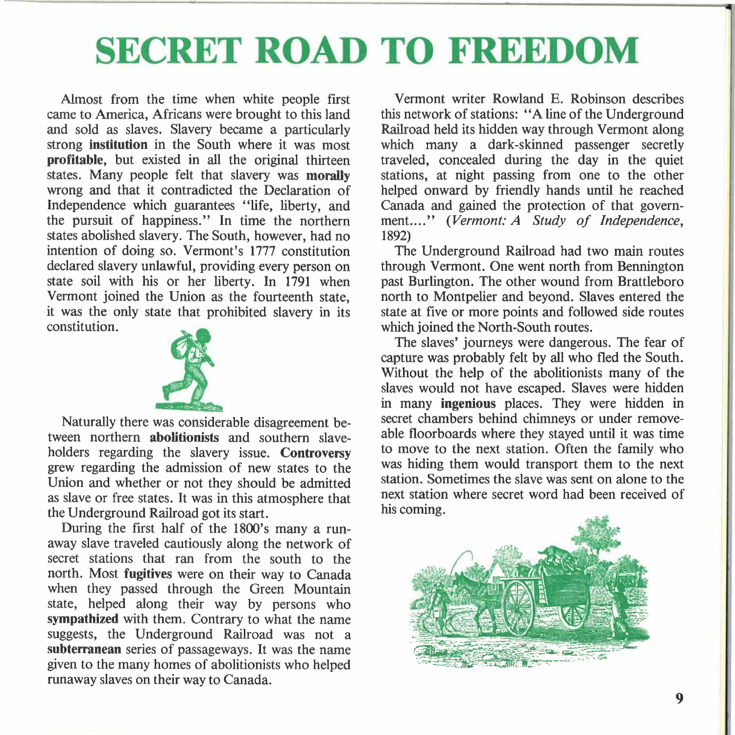## **SECRET ROAD TO FREEDOM**

Almost from the time when white people first came to America, Africans were brought to this land and sold as slaves. Slavery became a particularly strong **institution** in the South where it was most **profitable,** but existed in all the original thirteen states. Many people felt that slavery was **morally**  wrong and that it contradicted the Declaration of Independence which guarantees "life, liberty, and the pursuit of happiness." In time the northern states abolished slavery. The South, however, had no intention of doing so. Vermont's 1777 constitution declared slavery unlawful, providing every person on state soil with his or her liberty. In 1791 when Vermont joined the Union as the fourteenth state, it was the only state that prohibited slavery in its constitution.



Naturally there was considerable disagreement between northern **abolitionists** and southern slaveholders regarding the slavery issue. **Controversy**  grew regarding the admission of new states to the Union and whether or not they should be admitted as slave or free states. It was in this atmosphere that the Underground Railroad got its start.

During the first half of the 1800's many a runaway slave traveled cautiously along the network of secret stations that ran from the south to the north. Most **fugitives** were on their way to Canada when they passed through the Green Mountain state, helped along their way by persons who **sympathized** with them. Contrary to what the name suggests, the Underground Railroad was not a **subterranean** series of passageways. It was the name given to the many homes of abolitionists who helped runaway slaves on their way to Canada.

Vermont writer Rowland E. Robinson describes this network of stations: "A line of the Underground Railroad held its hidden way through Vermont along which many a dark-skinned passenger secretly traveled, concealed during the day in the quiet stations, at night passing from one to the other helped onward by friendly hands until he reached Canada and gained the protection of that government...." (Vermont: A Study of Independence, 1892)

The Underground Railroad had two main routes through Vermont. One went north from Bennington past Burlington. The other wound from Brattleboro north to Montpelier and beyond. Slaves entered the state at five or more points and followed side routes which joined the North-South routes.

The slaves' journeys were dangerous. The fear of capture was probably felt by all who fled the South. Without the help of the abolitionists many of the slaves would not have escaped. Slaves were hidden in many **ingenious** places. They were hidden in secret chambers behind chimneys or under removeable floorboards where they stayed until it was time to move to the next station. Often the family who was hiding them would transport them to the next station. Sometimes the slave was sent on alone to the next station where secret word had been received of his coming.